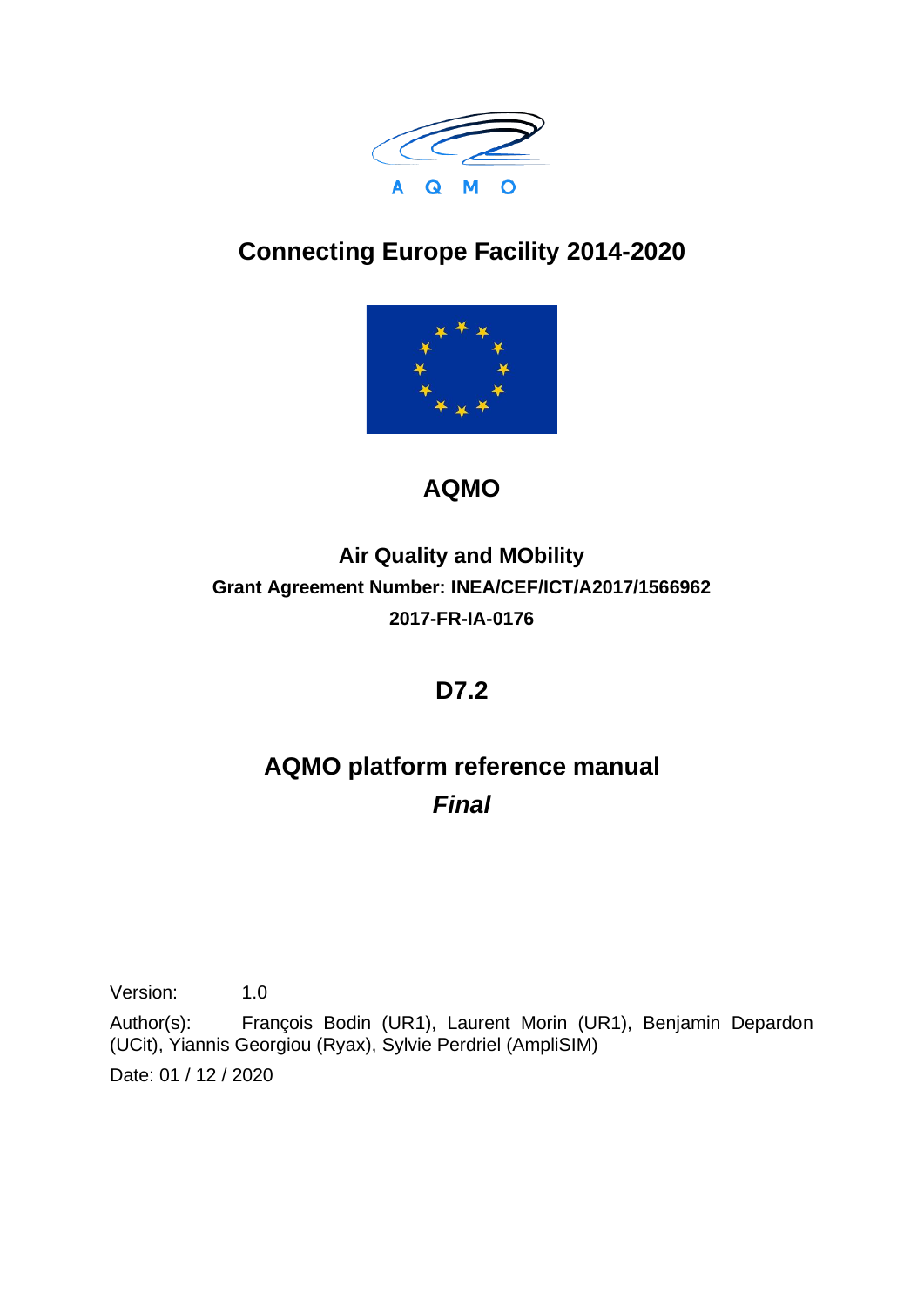

# **Connecting Europe Facility 2014-2020**



# **AQMO**

## **Air Quality and MObility Grant Agreement Number: INEA/CEF/ICT/A2017/1566962 2017-FR-IA-0176**

## **D7.2**

# **AQMO platform reference manual** *Final*

Version: 1.0

Author(s): François Bodin (UR1), Laurent Morin (UR1), Benjamin Depardon (UCit), Yiannis Georgiou (Ryax), Sylvie Perdriel (AmpliSIM) Date: 01 / 12 / 2020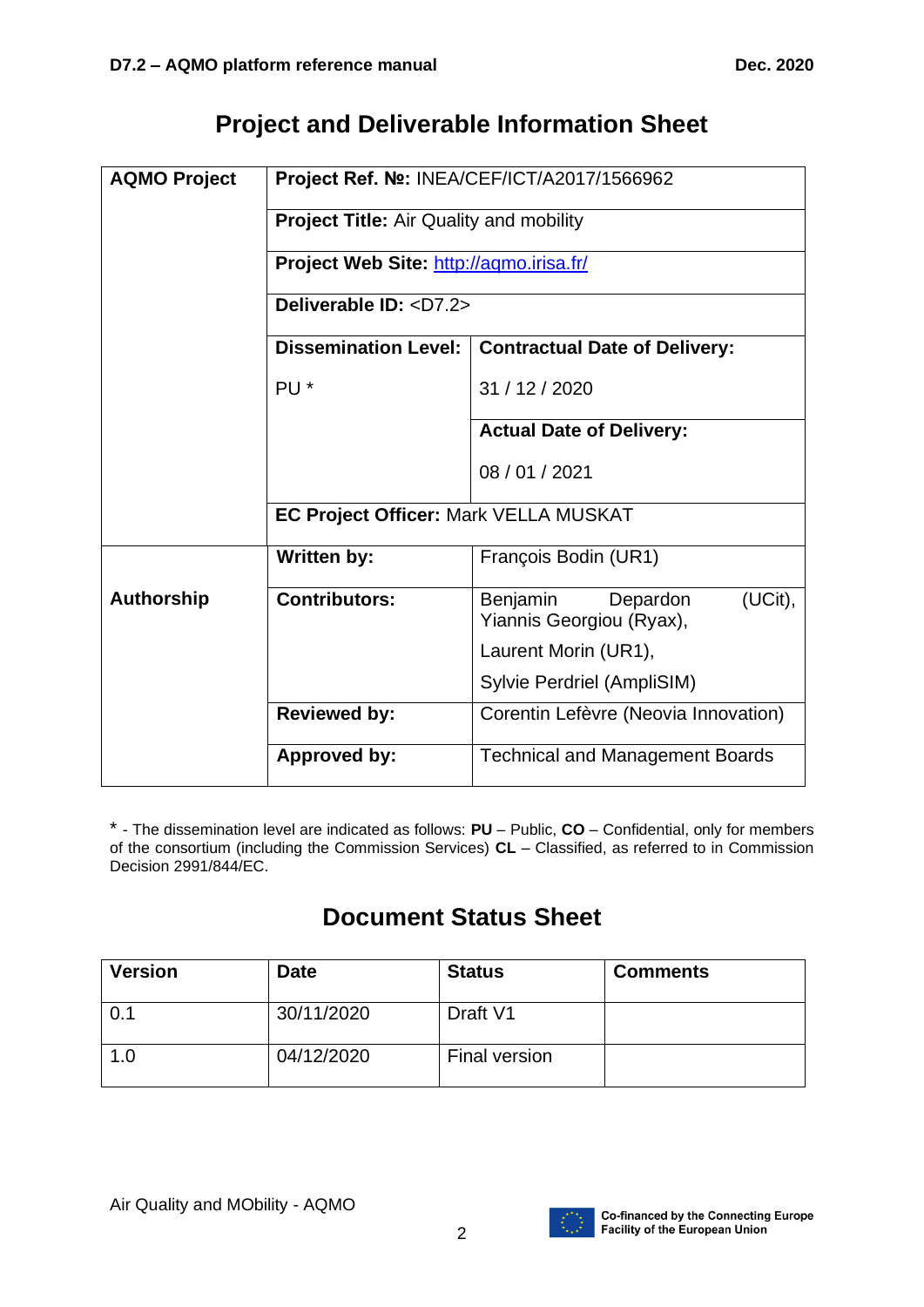## **Project and Deliverable Information Sheet**

| <b>AQMO Project</b> | Project Ref. Nº: INEA/CEF/ICT/A2017/1566962    |                                                             |  |
|---------------------|------------------------------------------------|-------------------------------------------------------------|--|
|                     | <b>Project Title: Air Quality and mobility</b> |                                                             |  |
|                     | Project Web Site: http://agmo.irisa.fr/        |                                                             |  |
|                     | Deliverable ID: <d7.2></d7.2>                  |                                                             |  |
|                     | <b>Dissemination Level:</b>                    | <b>Contractual Date of Delivery:</b>                        |  |
|                     | PU <sup>*</sup>                                | 31 / 12 / 2020                                              |  |
|                     |                                                | <b>Actual Date of Delivery:</b>                             |  |
|                     |                                                | 08 / 01 / 2021                                              |  |
|                     | EC Project Officer: Mark VELLA MUSKAT          |                                                             |  |
|                     | <b>Written by:</b>                             | François Bodin (UR1)                                        |  |
| <b>Authorship</b>   | <b>Contributors:</b>                           | (UCit),<br>Benjamin<br>Depardon<br>Yiannis Georgiou (Ryax), |  |
|                     |                                                | Laurent Morin (UR1),                                        |  |
|                     |                                                | Sylvie Perdriel (AmpliSIM)                                  |  |
|                     | <b>Reviewed by:</b>                            | Corentin Lefèvre (Neovia Innovation)                        |  |
|                     | Approved by:                                   | <b>Technical and Management Boards</b>                      |  |

\* - The dissemination level are indicated as follows: **PU** – Public, **CO** – Confidential, only for members of the consortium (including the Commission Services) **CL** – Classified, as referred to in Commission Decision 2991/844/EC.

# **Document Status Sheet**

| <b>Version</b> | <b>Date</b> | <b>Status</b> | <b>Comments</b> |
|----------------|-------------|---------------|-----------------|
| $\sqrt{0.1}$   | 30/11/2020  | Draft V1      |                 |
| 1.0            | 04/12/2020  | Final version |                 |

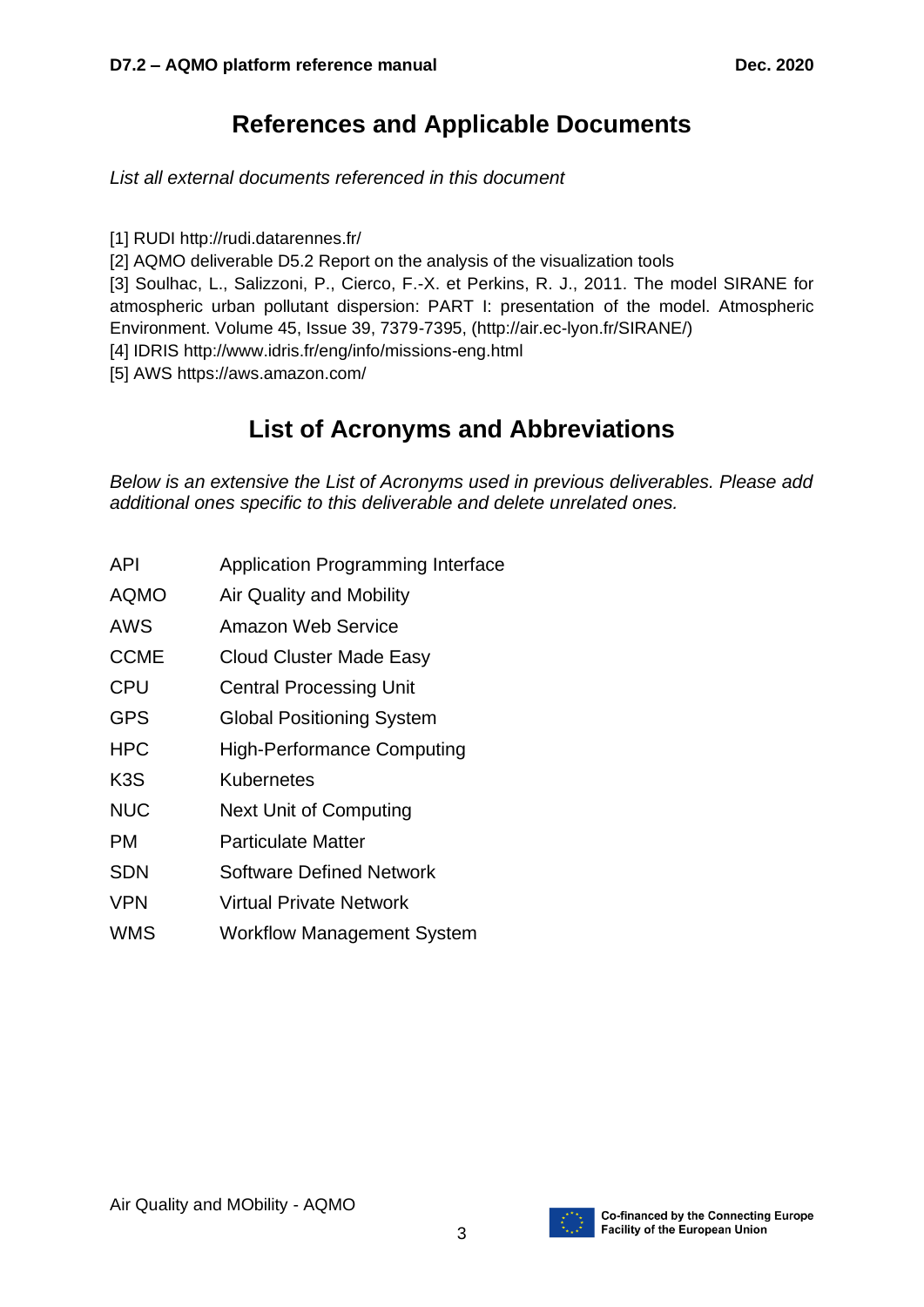## **References and Applicable Documents**

*List all external documents referenced in this document*

[1] RUD[I](http://rudi.datarennes.fr/) <http://rudi.datarennes.fr/>

[2] AQMO deliverable D5.2 Report on the analysis of the visualization tools

[3] Soulhac, L., Salizzoni, P., Cierco, F.-X. et Perkins, R. J., 2011. The model SIRANE for atmospheric urban pollutant dispersion: PART I: presentation of the model. Atmospheric Environment. Volume 45, Issue 39, 7379-7395, [\(http://air.ec-lyon.fr/SIRANE/\)](http://air.ec-lyon.fr/SIRANE/)

[4] IDRIS <http://www.idris.fr/eng/info/missions-eng.html>

[5] AWS <https://aws.amazon.com/>

## **List of Acronyms and Abbreviations**

*Below is an extensive the List of Acronyms used in previous deliverables. Please add additional ones specific to this deliverable and delete unrelated ones.*

- API Application Programming Interface
- AQMO Air Quality and Mobility
- AWS Amazon Web Service
- CCME Cloud Cluster Made Easy
- CPU Central Processing Unit
- GPS Global Positioning System
- HPC High-Performance Computing
- K3S Kubernetes
- NUC Next Unit of Computing
- PM Particulate Matter
- SDN Software Defined Network
- VPN Virtual Private Network
- WMS Workflow Management System

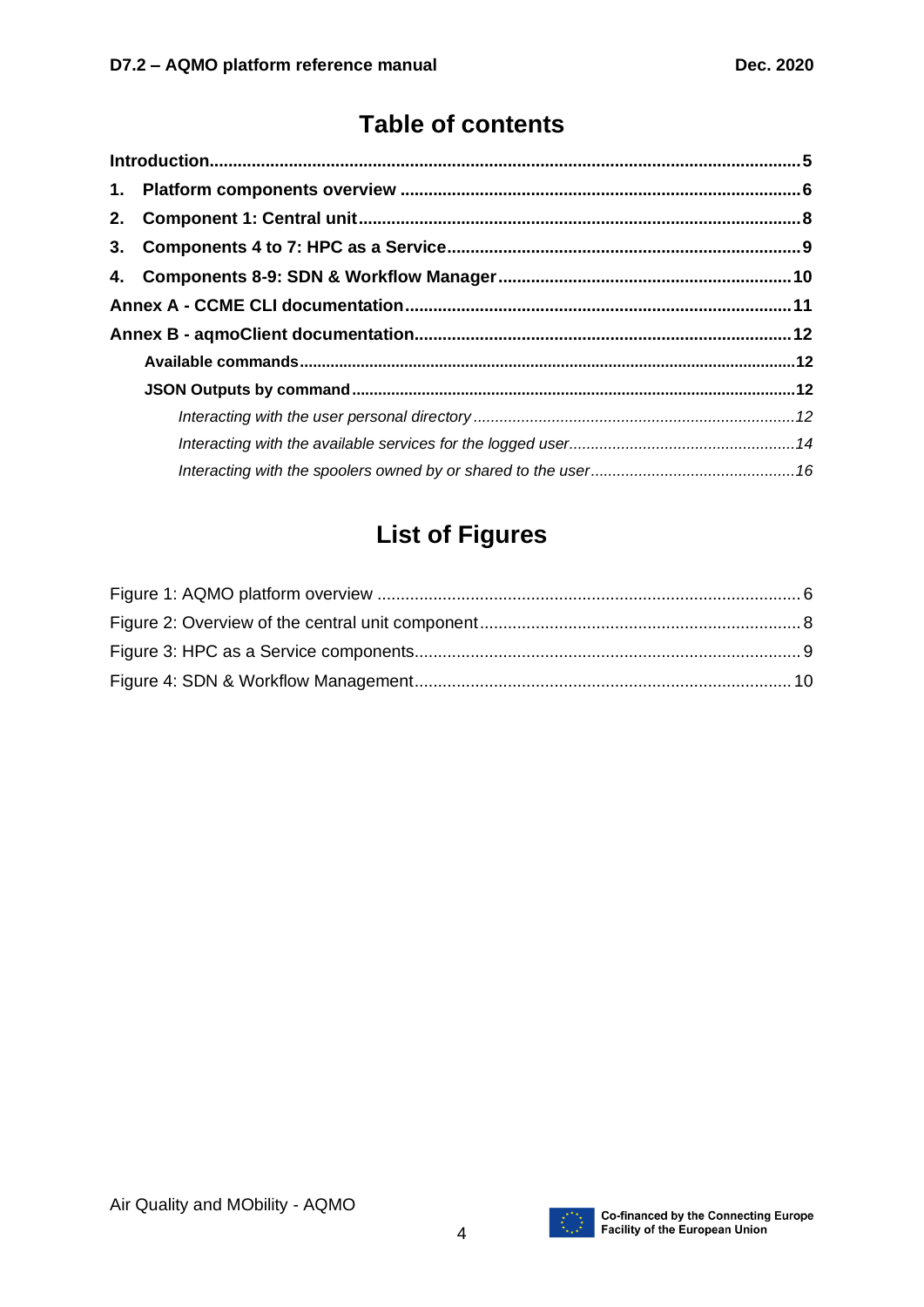## **Table of contents**

# **List of Figures**

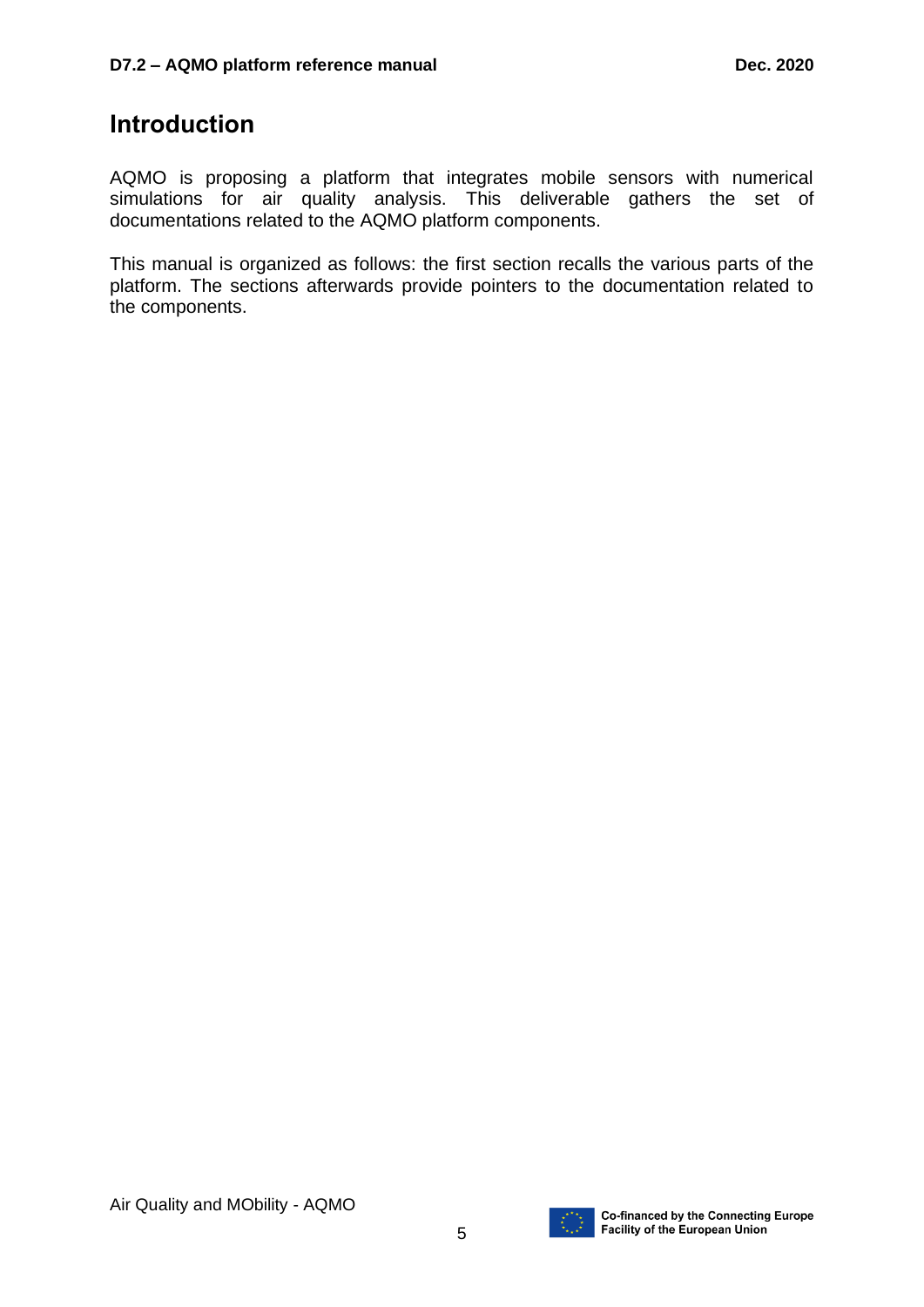## **Introduction**

AQMO is proposing a platform that integrates mobile sensors with numerical simulations for air quality analysis. This deliverable gathers the set of documentations related to the AQMO platform components.

This manual is organized as follows: the first section recalls the various parts of the platform. The sections afterwards provide pointers to the documentation related to the components.

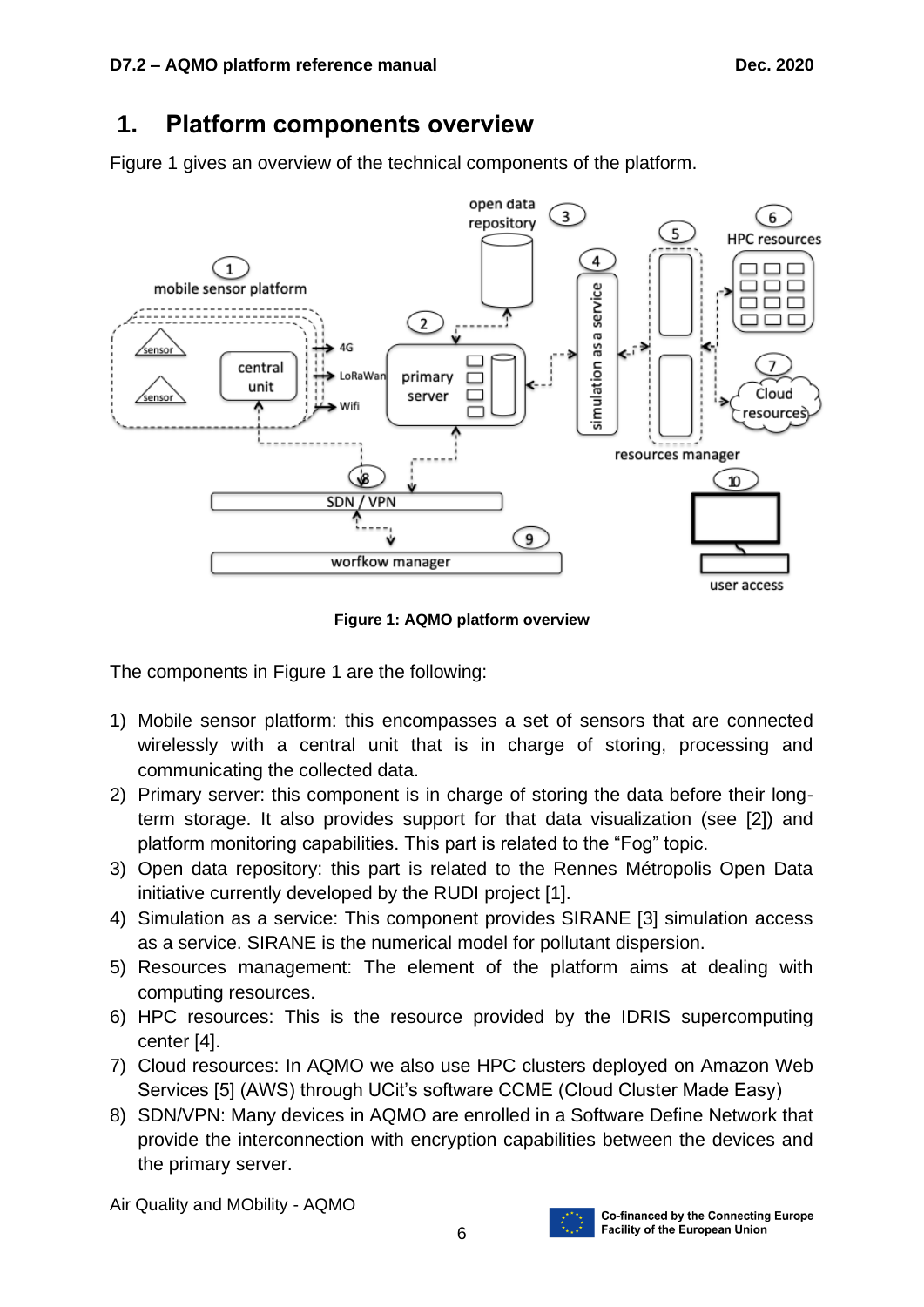## **1. Platform components overview**

[Figure 1](#page-5-0) gives an overview of the technical components of the platform.



**Figure 1: AQMO platform overview**

<span id="page-5-0"></span>The components in [Figure 1](#page-5-0) are the following:

- 1) Mobile sensor platform: this encompasses a set of sensors that are connected wirelessly with a central unit that is in charge of storing, processing and communicating the collected data.
- 2) Primary server: this component is in charge of storing the data before their longterm storage. It also provides support for that data visualization (see [2]) and platform monitoring capabilities. This part is related to the "Fog" topic.
- 3) Open data repository: this part is related to the Rennes Métropolis Open Data initiative currently developed by the RUDI project [1].
- 4) Simulation as a service: This component provides SIRANE [3] simulation access as a service. SIRANE is the numerical model for pollutant dispersion.
- 5) Resources management: The element of the platform aims at dealing with computing resources.
- 6) HPC resources: This is the resource provided by the IDRIS supercomputing center [4].
- 7) Cloud resources: In AQMO we also use HPC clusters deployed on Amazon Web Services [5] (AWS) through UCit's software CCME (Cloud Cluster Made Easy)
- 8) SDN/VPN: Many devices in AQMO are enrolled in a Software Define Network that provide the interconnection with encryption capabilities between the devices and the primary server.

Air Quality and MObility - AQMO

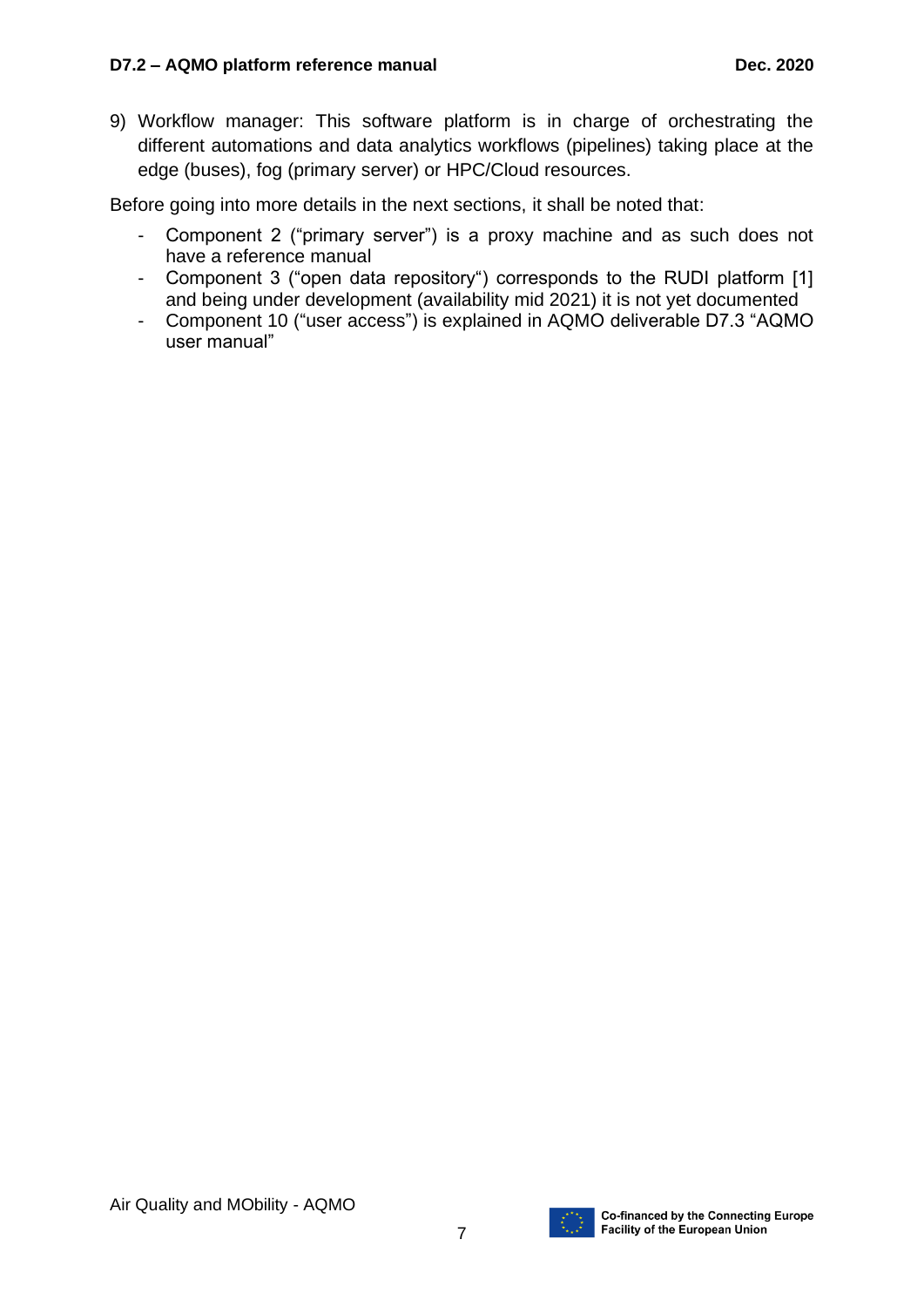9) Workflow manager: This software platform is in charge of orchestrating the different automations and data analytics workflows (pipelines) taking place at the edge (buses), fog (primary server) or HPC/Cloud resources.

Before going into more details in the next sections, it shall be noted that:

- Component 2 ("primary server") is a proxy machine and as such does not have a reference manual
- Component 3 ("open data repository") corresponds to the RUDI platform [1] and being under development (availability mid 2021) it is not yet documented
- Component 10 ("user access") is explained in AQMO deliverable D7.3 "AQMO user manual"

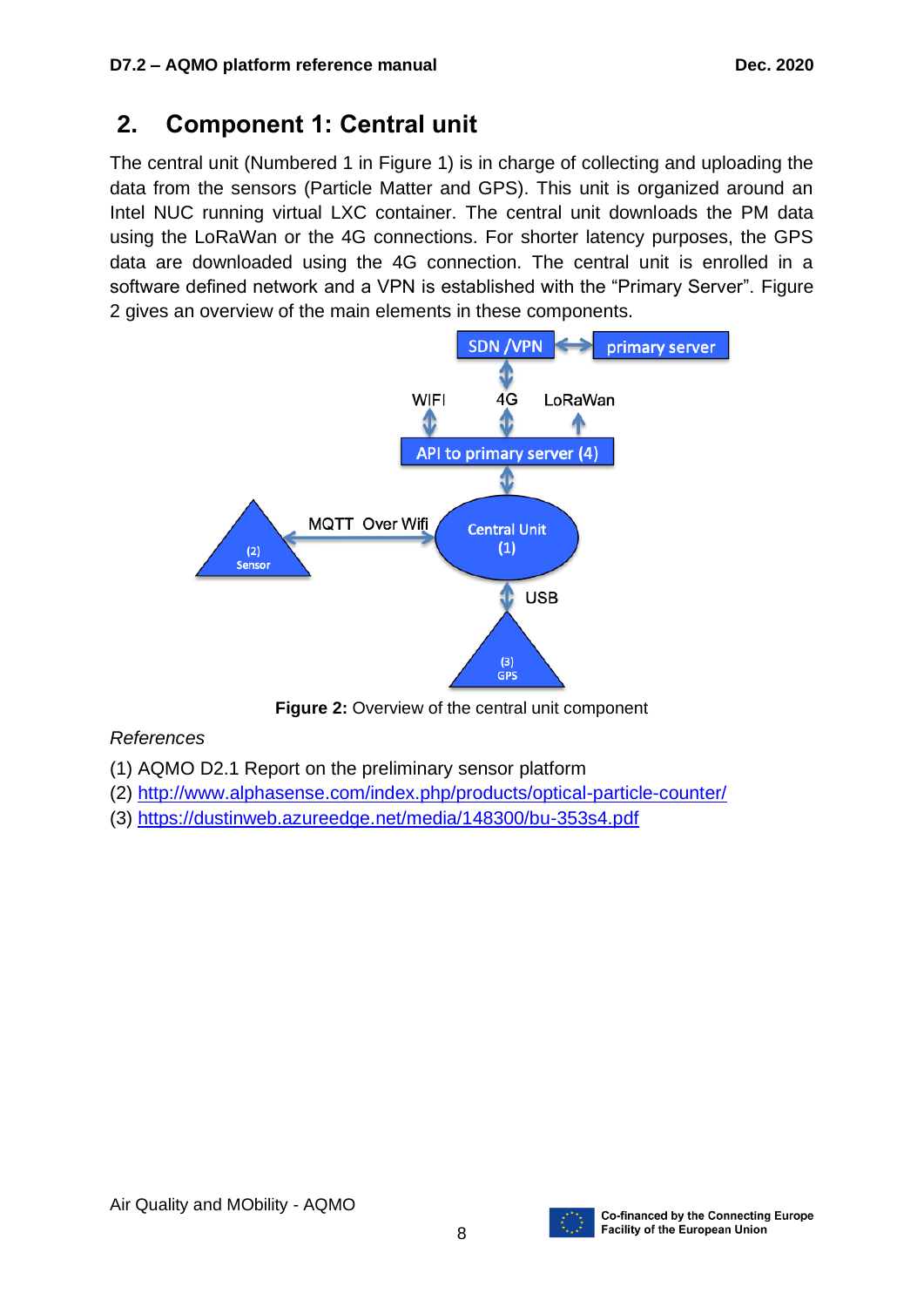## **2. Component 1: Central unit**

The central unit (Numbered 1 in [Figure 1\)](#page-5-0) is in charge of collecting and uploading the data from the sensors (Particle Matter and GPS). This unit is organized around an Intel NUC running virtual LXC container. The central unit downloads the PM data using the LoRaWan or the 4G connections. For shorter latency purposes, the GPS data are downloaded using the 4G connection. The central unit is enrolled in a software defined network and a VPN is established with the "Primary Server". [Figure](#page-7-0)  [2](#page-7-0) gives an overview of the main elements in these components.



**Figure 2: Overview of the central unit component** 

### <span id="page-7-0"></span>*References*

- (1) AQMO D2.1 Report on the preliminary sensor platform
- (2)<http://www.alphasense.com/index.php/products/optical-particle-counter/>
- (3)<https://dustinweb.azureedge.net/media/148300/bu-353s4.pdf>

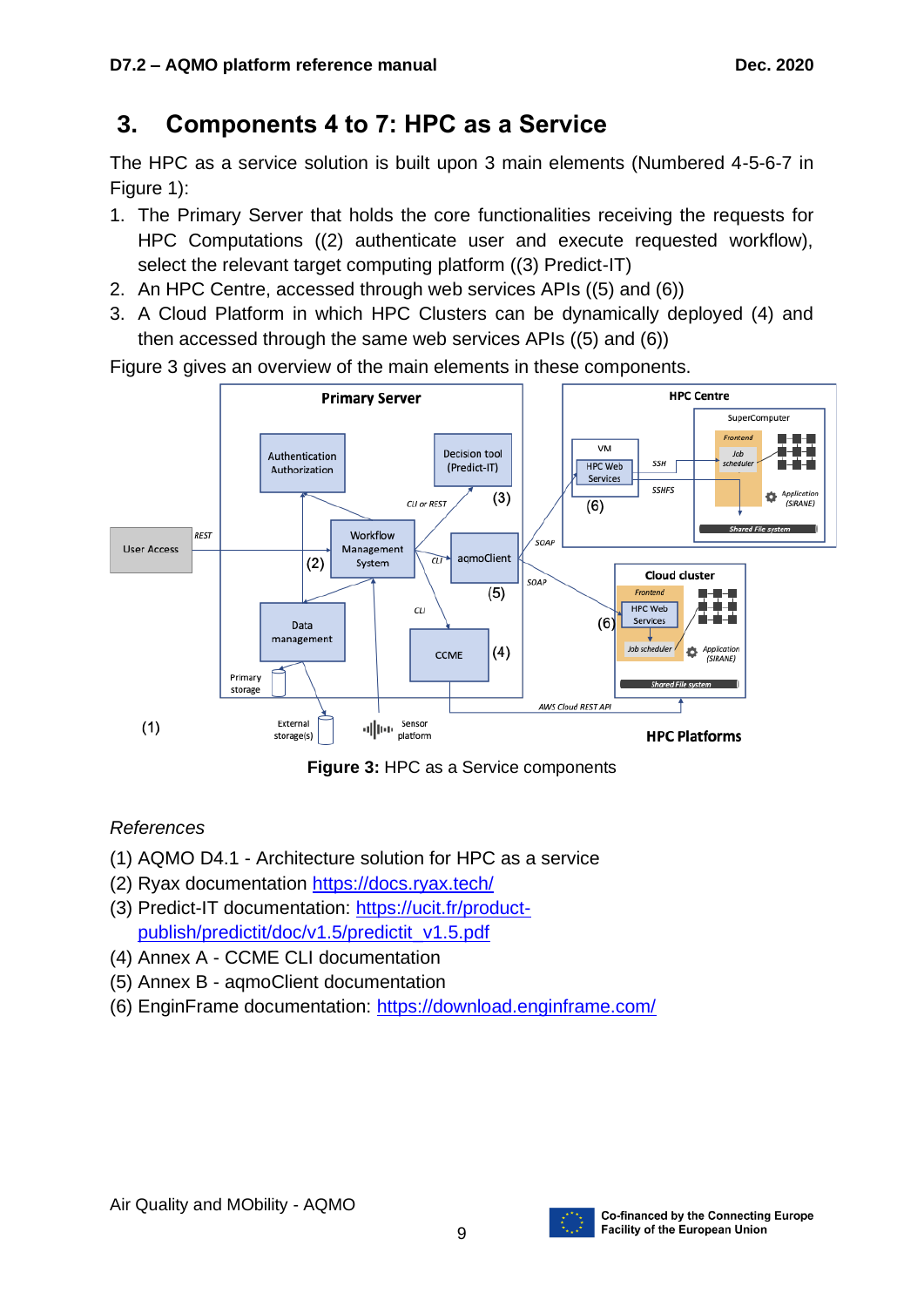# **3. Components 4 to 7: HPC as a Service**

The HPC as a service solution is built upon 3 main elements (Numbered 4-5-6-7 in [Figure 1\)](#page-5-0):

- 1. The Primary Server that holds the core functionalities receiving the requests for HPC Computations ((2) authenticate user and execute requested workflow), select the relevant target computing platform ((3) Predict-IT)
- 2. An HPC Centre, accessed through web services APIs ((5) and (6))
- 3. A Cloud Platform in which HPC Clusters can be dynamically deployed (4) and then accessed through the same web services APIs ((5) and (6))

**Primary Server HPC Centre** SuperComputer Frontend **VM** Decision tool Authentication **HPC Web SSH** schedule (Predict-IT) Authorization Services SSHES  $(3)$ Applicatio CLI or REST  $(6)$ (SIRANE) **REST** Workflow SOAP **User Access** Management aqmoClient  $\overline{c}$  $(2)$ System **Cloud cluster** SOAR  $(5)$  $\alpha$ **HPC Web** Services  $(6)$ Data management  $(4)$ Job sche ó CCME Application<br>(SIRANE) Primary storage

[Figure 3](#page-8-0) gives an overview of the main elements in these components.

**Figure 3:** HPC as a Service components

### *References*

<span id="page-8-0"></span> $(1)$ 

(1) AQMO D4.1 - Architecture solution for HPC as a service

1|||11|| Sensor<br>|-

(2) Ryax documentation<https://docs.ryax.tech/>

External

storage(s)

- (3) Predict-IT documentation: [https://ucit.fr/product](https://ucit.fr/product-publish/predictit/doc/v1.5/predictit_v1.5.pdf)[publish/predictit/doc/v1.5/predictit\\_v1.5.pdf](https://ucit.fr/product-publish/predictit/doc/v1.5/predictit_v1.5.pdf)
- (4) Annex A CCME CLI documentation
- (5) Annex B aqmoClient documentation
- (6) EnginFrame documentation:<https://download.enginframe.com/>



AWS Cloud REST AP

**HPC Platforms**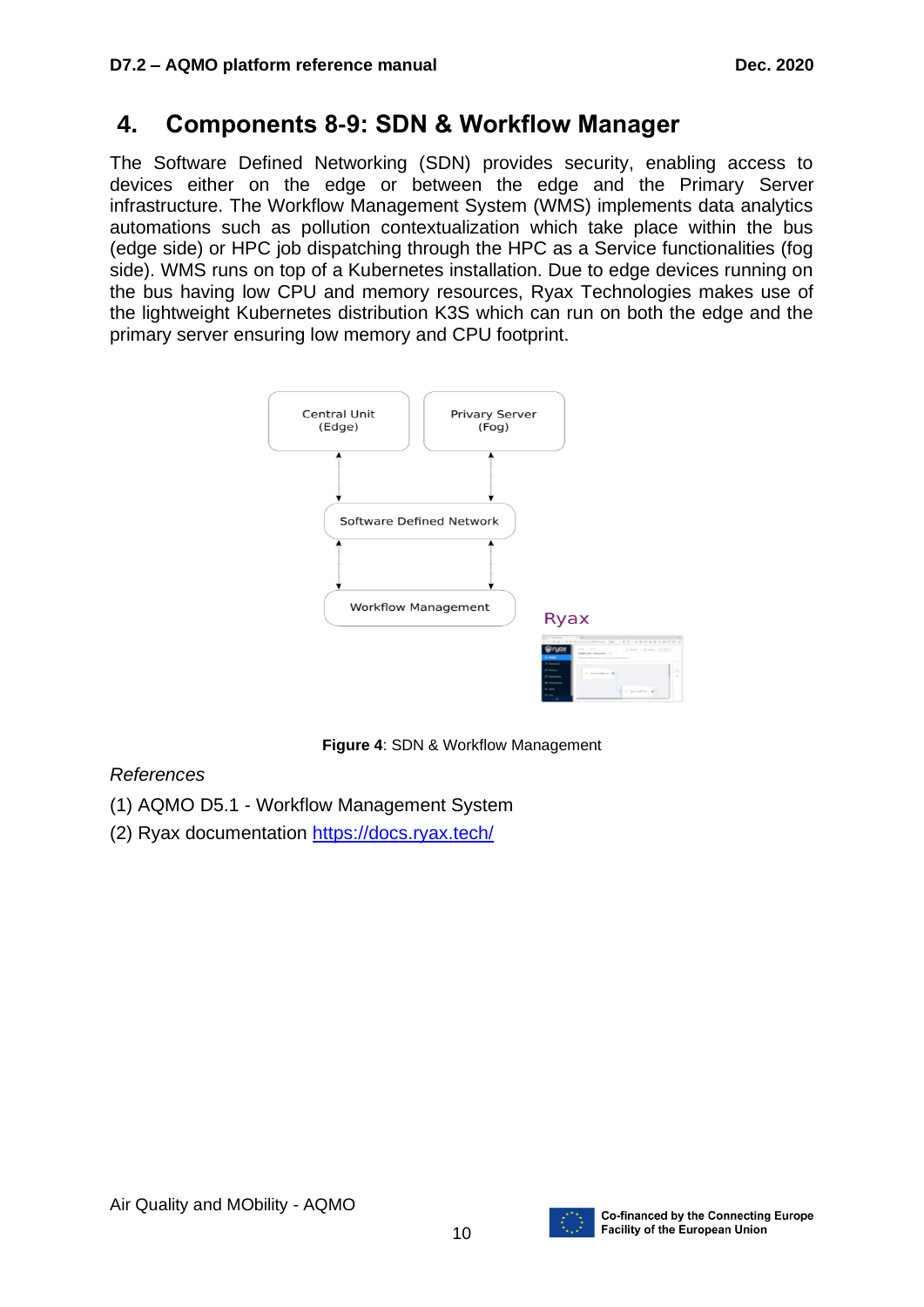## **4. Components 8-9: SDN & Workflow Manager**

The Software Defined Networking (SDN) provides security, enabling access to devices either on the edge or between the edge and the Primary Server infrastructure. The Workflow Management System (WMS) implements data analytics automations such as pollution contextualization which take place within the bus (edge side) or HPC job dispatching through the HPC as a Service functionalities (fog side). WMS runs on top of a Kubernetes installation. Due to edge devices running on the bus having low CPU and memory resources, Ryax Technologies makes use of the lightweight Kubernetes distribution K3S which can run on both the edge and the primary server ensuring low memory and CPU footprint.



**Figure 4**: SDN & Workflow Management

### <span id="page-9-0"></span>*References*

- (1) AQMO D5.1 Workflow Management System
- (2) Ryax documentation<https://docs.ryax.tech/>

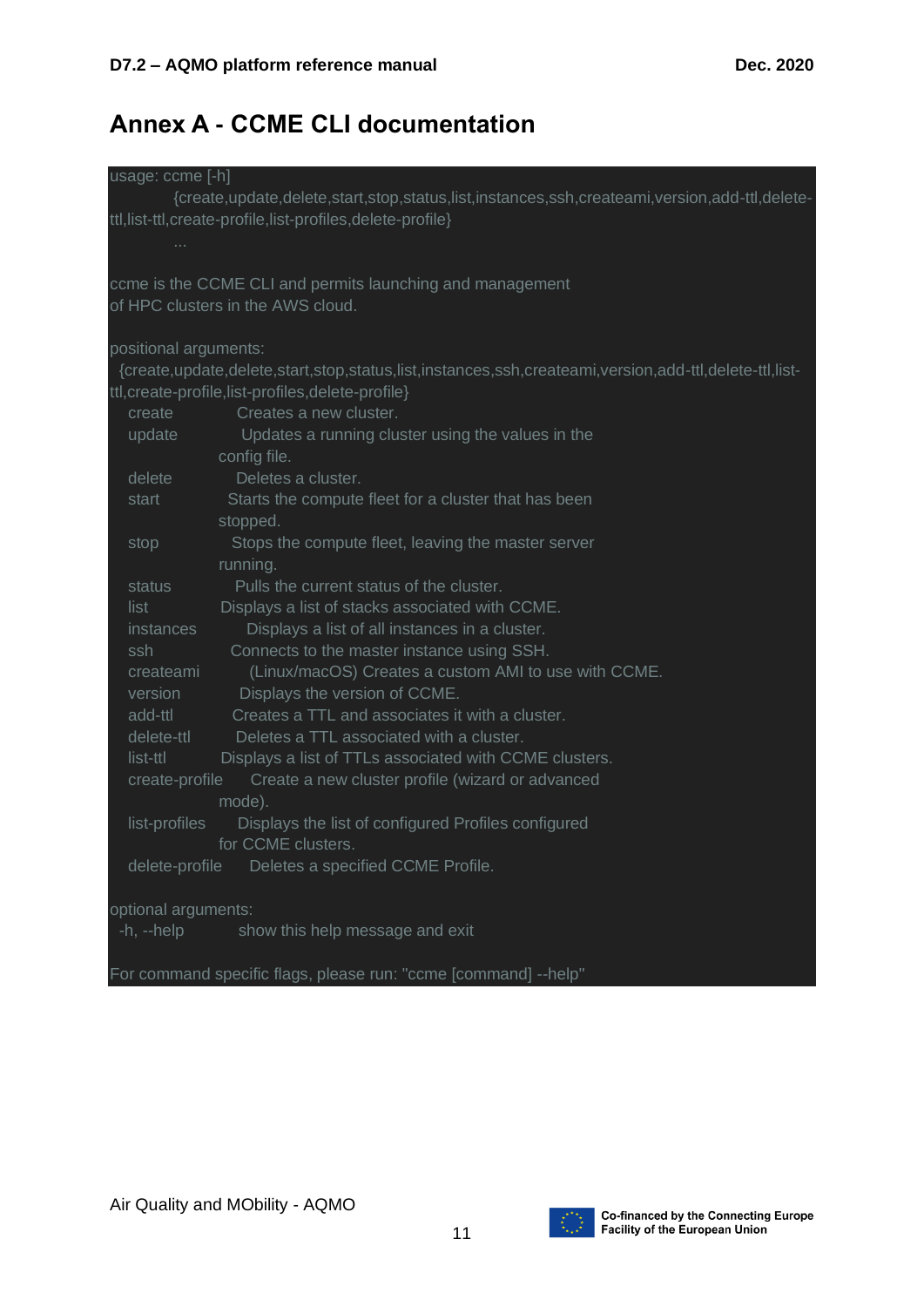# **Annex A - CCME CLI documentation**

| usage: ccme [-h]      |                                                                                                       |
|-----------------------|-------------------------------------------------------------------------------------------------------|
|                       | {create,update,delete,start,stop,status,list,instances,ssh,createami,version,add-ttl,delete-          |
|                       | ttl,list-ttl,create-profile,list-profiles,delete-profile}                                             |
| $\sim$ 100 $\pm$      |                                                                                                       |
|                       |                                                                                                       |
|                       | ccme is the CCME CLI and permits launching and management                                             |
|                       | of HPC clusters in the AWS cloud.                                                                     |
|                       |                                                                                                       |
| positional arguments: |                                                                                                       |
|                       | {create,update,delete,start,stop,status,list,instances,ssh,createami,version,add-ttl,delete-ttl,list- |
|                       | ttl, create-profile, list-profiles, delete-profile}                                                   |
| create                | Creates a new cluster.                                                                                |
| update                | Updates a running cluster using the values in the                                                     |
|                       | config file.                                                                                          |
| delete                | Deletes a cluster.                                                                                    |
| start                 | Starts the compute fleet for a cluster that has been                                                  |
|                       | stopped.                                                                                              |
| stop                  | Stops the compute fleet, leaving the master server                                                    |
|                       | running.                                                                                              |
| status                | Pulls the current status of the cluster.                                                              |
| list                  | Displays a list of stacks associated with CCME.                                                       |
| <i>instances</i>      | Displays a list of all instances in a cluster.                                                        |
| ssh                   | Connects to the master instance using SSH.                                                            |
| createami             | (Linux/macOS) Creates a custom AMI to use with CCME.                                                  |
| version               | Displays the version of CCME.                                                                         |
| add-ttl               | Creates a TTL and associates it with a cluster.                                                       |
| delete-ttl            | Deletes a TTL associated with a cluster.                                                              |
| list-ttl              | Displays a list of TTLs associated with CCME clusters.                                                |
| create-profile        | Create a new cluster profile (wizard or advanced                                                      |
|                       | mode).                                                                                                |
| list-profiles         | Displays the list of configured Profiles configured                                                   |
|                       | for CCME clusters.                                                                                    |
| delete-profile        | Deletes a specified CCME Profile.                                                                     |
| optional arguments:   |                                                                                                       |
| $-h, -h$ elp          | show this help message and exit                                                                       |
|                       |                                                                                                       |
|                       | For command specific flags, please run: "ccme [command] --help"                                       |
|                       |                                                                                                       |

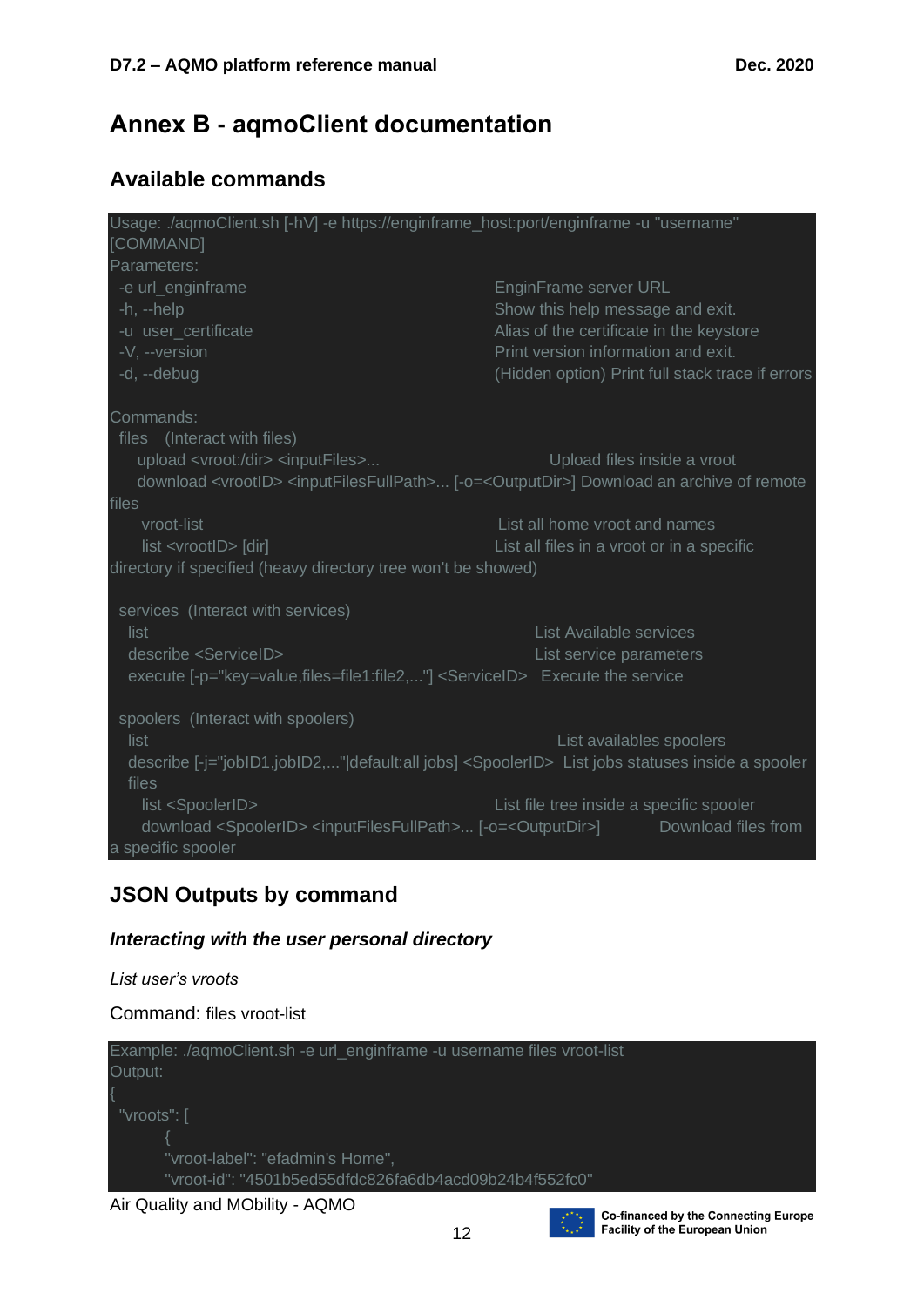## **Annex B - aqmoClient documentation**

## **Available commands**

| Usage: ./aqmoClient.sh [-hV] -e https://enginframe_host:port/enginframe -u "username"                                 |                                                                                                                                   |
|-----------------------------------------------------------------------------------------------------------------------|-----------------------------------------------------------------------------------------------------------------------------------|
| [COMMAND]                                                                                                             |                                                                                                                                   |
| Parameters:                                                                                                           |                                                                                                                                   |
| -e url_enginframe                                                                                                     | EnginFrame server URL                                                                                                             |
| $-h, -h$ elp                                                                                                          | Show this help message and exit.                                                                                                  |
| -u user_certificate                                                                                                   | Alias of the certificate in the keystore                                                                                          |
| -V, --version                                                                                                         | Print version information and exit.                                                                                               |
| -d, --debug                                                                                                           | (Hidden option) Print full stack trace if errors                                                                                  |
| Commands:                                                                                                             |                                                                                                                                   |
| files (Interact with files)                                                                                           |                                                                                                                                   |
| upload <vroot: dir=""> <inputfiles></inputfiles></vroot:>                                                             | Upload files inside a vroot                                                                                                       |
|                                                                                                                       | download <vrootid> <inputfilesfullpath> [-o=<outputdir>] Download an archive of remote</outputdir></inputfilesfullpath></vrootid> |
| files                                                                                                                 |                                                                                                                                   |
| vroot-list                                                                                                            | List all home vroot and names                                                                                                     |
| list <vrootid> [dir]</vrootid>                                                                                        | List all files in a vroot or in a specific                                                                                        |
| directory if specified (heavy directory tree won't be showed)                                                         |                                                                                                                                   |
| services (Interact with services)                                                                                     |                                                                                                                                   |
| list                                                                                                                  | List Available services                                                                                                           |
| describe <serviceid></serviceid>                                                                                      | List service parameters                                                                                                           |
| execute [-p="key=value,files=file1:file2,"] <serviceid> Execute the service</serviceid>                               |                                                                                                                                   |
| spoolers (Interact with spoolers)                                                                                     |                                                                                                                                   |
| list                                                                                                                  | List availables spoolers                                                                                                          |
| describe [-j="jobID1,jobID2," default:all jobs] <spoolerid> List jobs statuses inside a spooler<br/>files</spoolerid> |                                                                                                                                   |
| list <spoolerid></spoolerid>                                                                                          | List file tree inside a specific spooler                                                                                          |
| download <spoolerid> <inputfilesfullpath> [-o=<outputdir>]</outputdir></inputfilesfullpath></spoolerid>               | Download files from                                                                                                               |
| a specific spooler                                                                                                    |                                                                                                                                   |

## **JSON Outputs by command**

*List user's vroots*

#### *Interacting with the user personal directory*





**Co-financed by the Connecting Europe Facility of the European Union**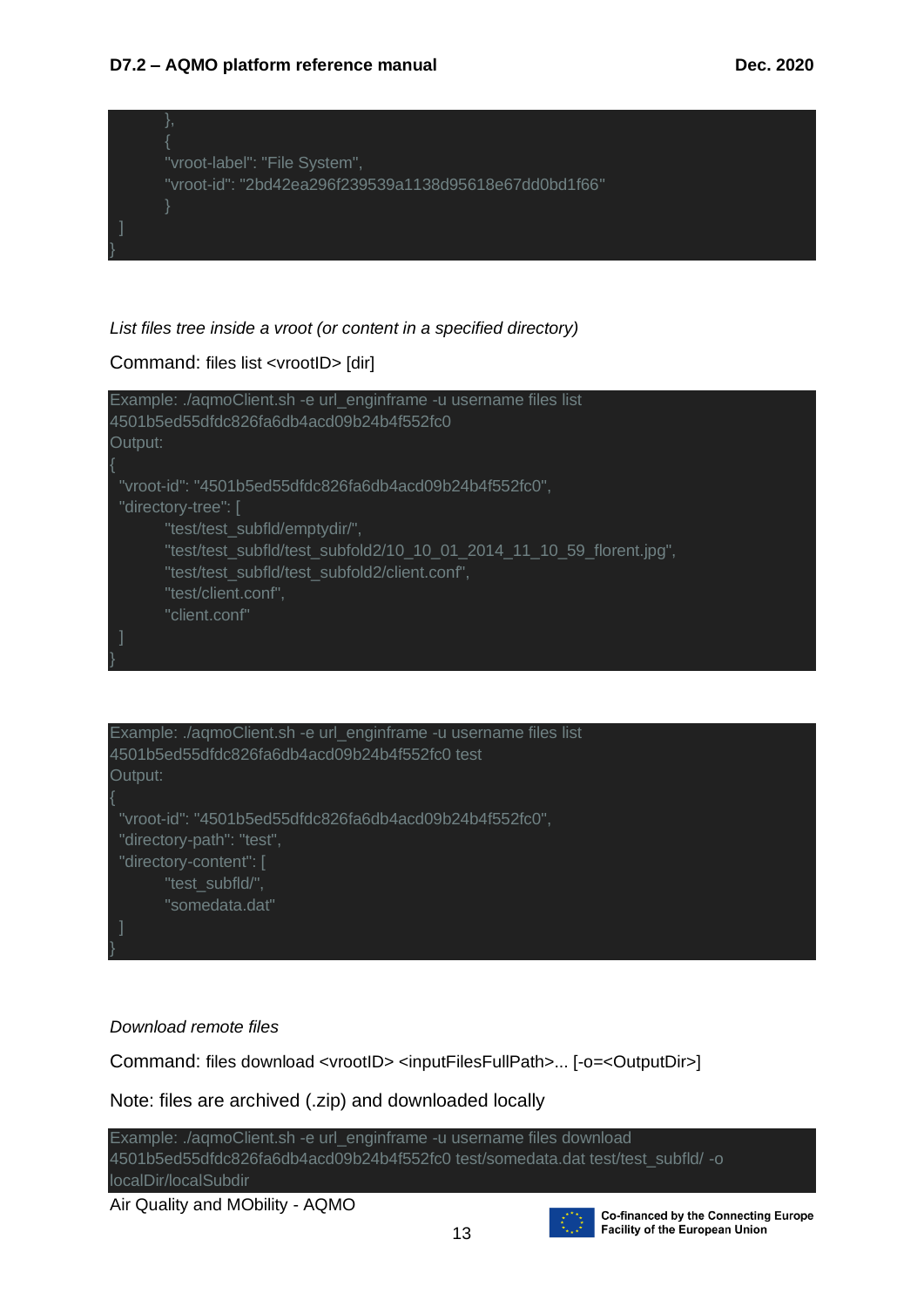#### **D7.2 – AQMO platform reference manual Dec. 2020**



### *List files tree inside a vroot (or content in a specified directory)*

### Command: files list <vrootID> [dir]





#### *Download remote files*

Command: files download <vrootID> <inputFilesFullPath>... [-o=<OutputDir>]

Note: files are archived (.zip) and downloaded locally



Air Quality and MObility - AQMO



**Co-financed by the Connecting Europe** Facility of the European Union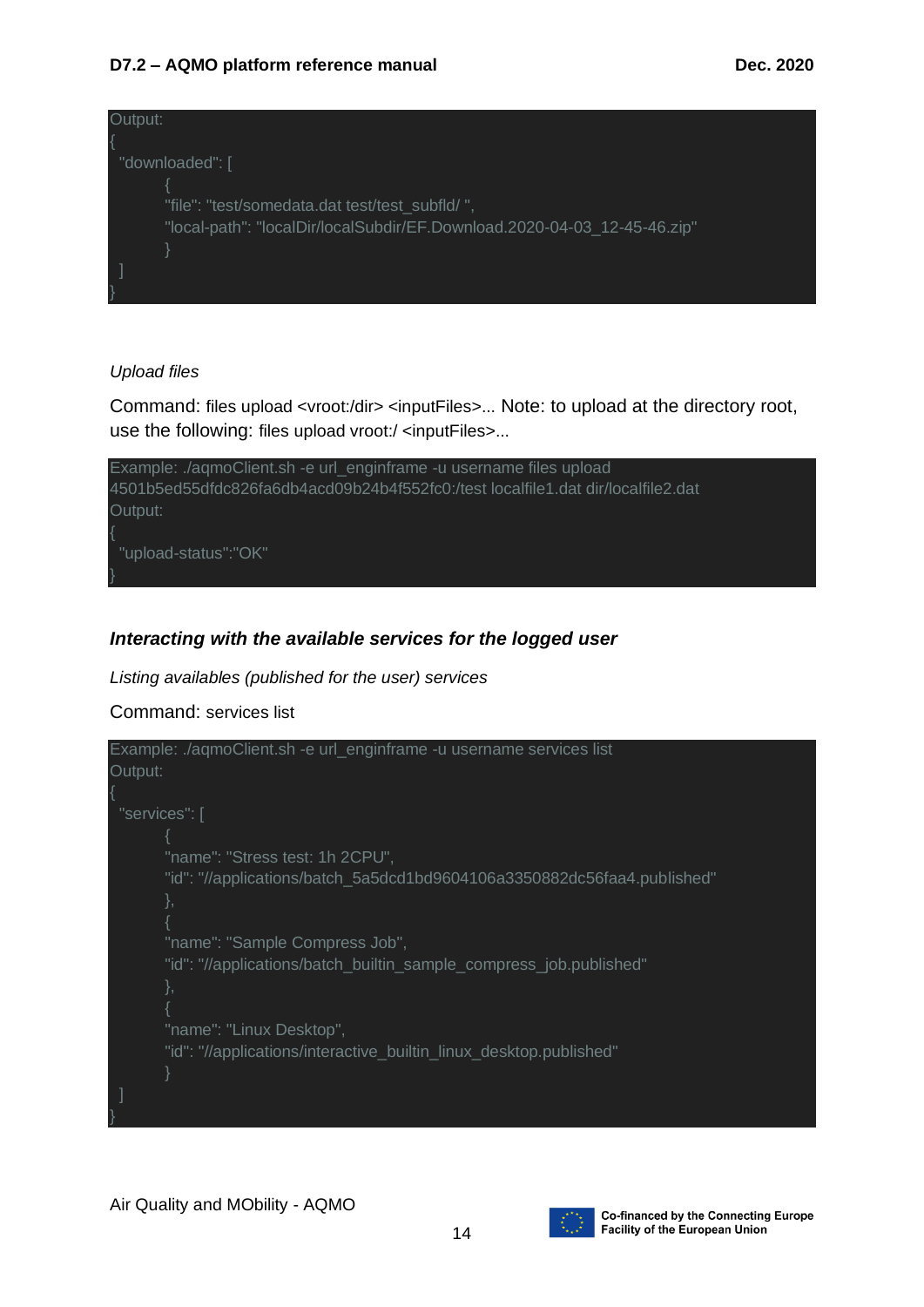### **D7.2 – AQMO platform reference manual Dec. 2020**



### *Upload files*

Command: files upload <vroot:/dir> <inputFiles>... Note: to upload at the directory root, use the following: files upload vroot:/ <inputFiles>...



### *Interacting with the available services for the logged user*

*Listing availables (published for the user) services*

### Command: services list



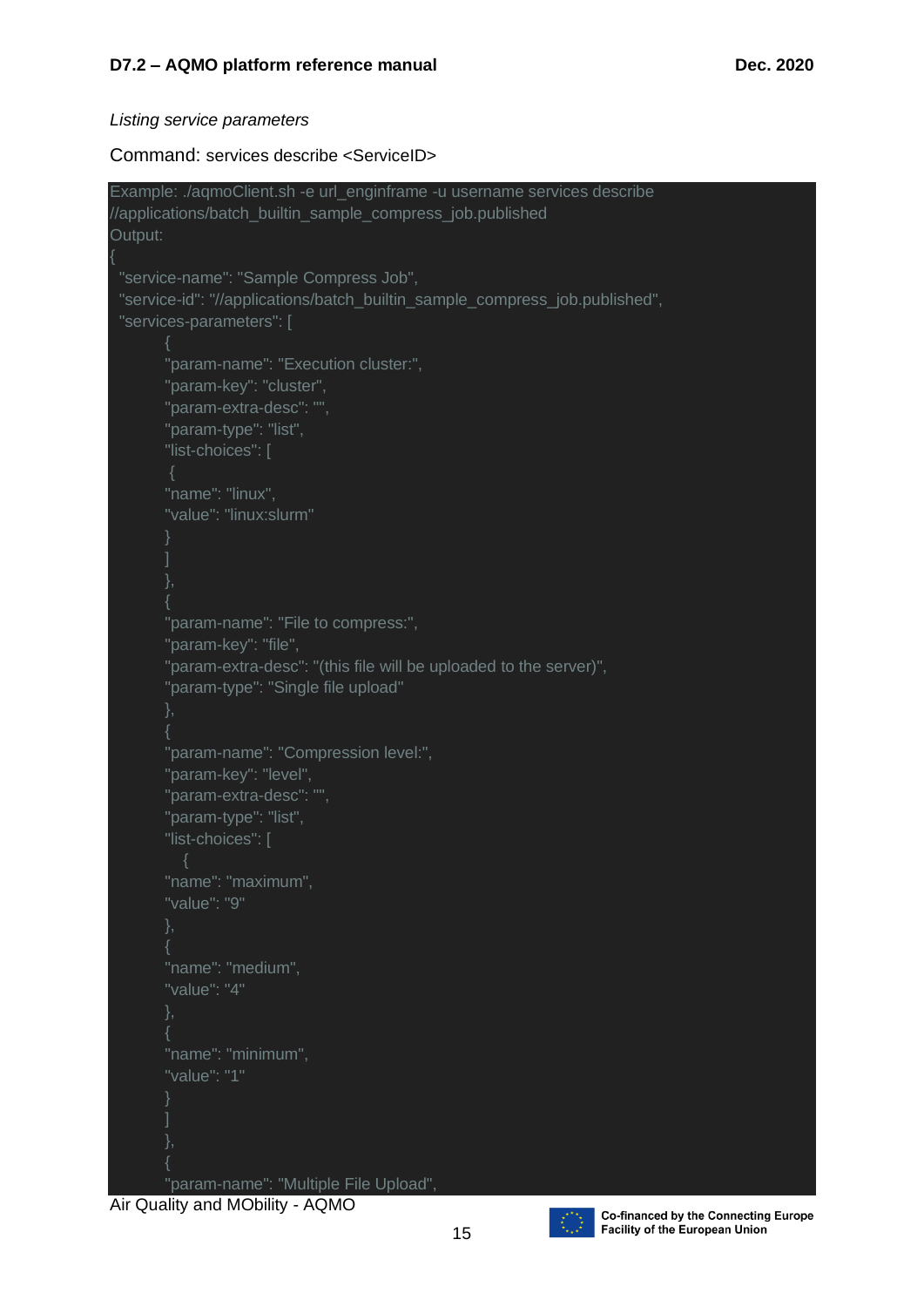#### *Listing service parameters*

Command: services describe <ServiceID>

```
Example: ./aqmoClient.sh -e url_enginframe -u username services describe 
//applications/batch_builtin_sample_compress_job.published
Output:
{
  "service-name": "Sample Compress Job",
  "service-id": "//applications/batch_builtin_sample_compress_job.published",
  "services-parameters": [
         "param-name": "Execution cluster:",
         "param-key": "cluster",
         "param-extra-desc": "",
         "param-type": "list",
         "list-choices": [
         "name": "linux",
         "value": "linux:slurm"
\sim \sim \sim \sim{
         "param-name": "File to compress:",
         "param-key": "file",
         "param-extra-desc": "(this file will be uploaded to the server)",
         "param-type": "Single file upload"
        {
         "param-name": "Compression level:",
         "param-key": "level",
         "param-extra-desc": "",
         "param-type": "list",
         "list-choices": [
         "name": "maximum",
         "value": "9"
         "name": "medium",
         "value": "4"
\left\{ \begin{array}{cc} & \end{array} \right. "name": "minimum",
         "value": "1"
\sim \sim \sim \sim{
         "param-name": "Multiple File Upload",
```
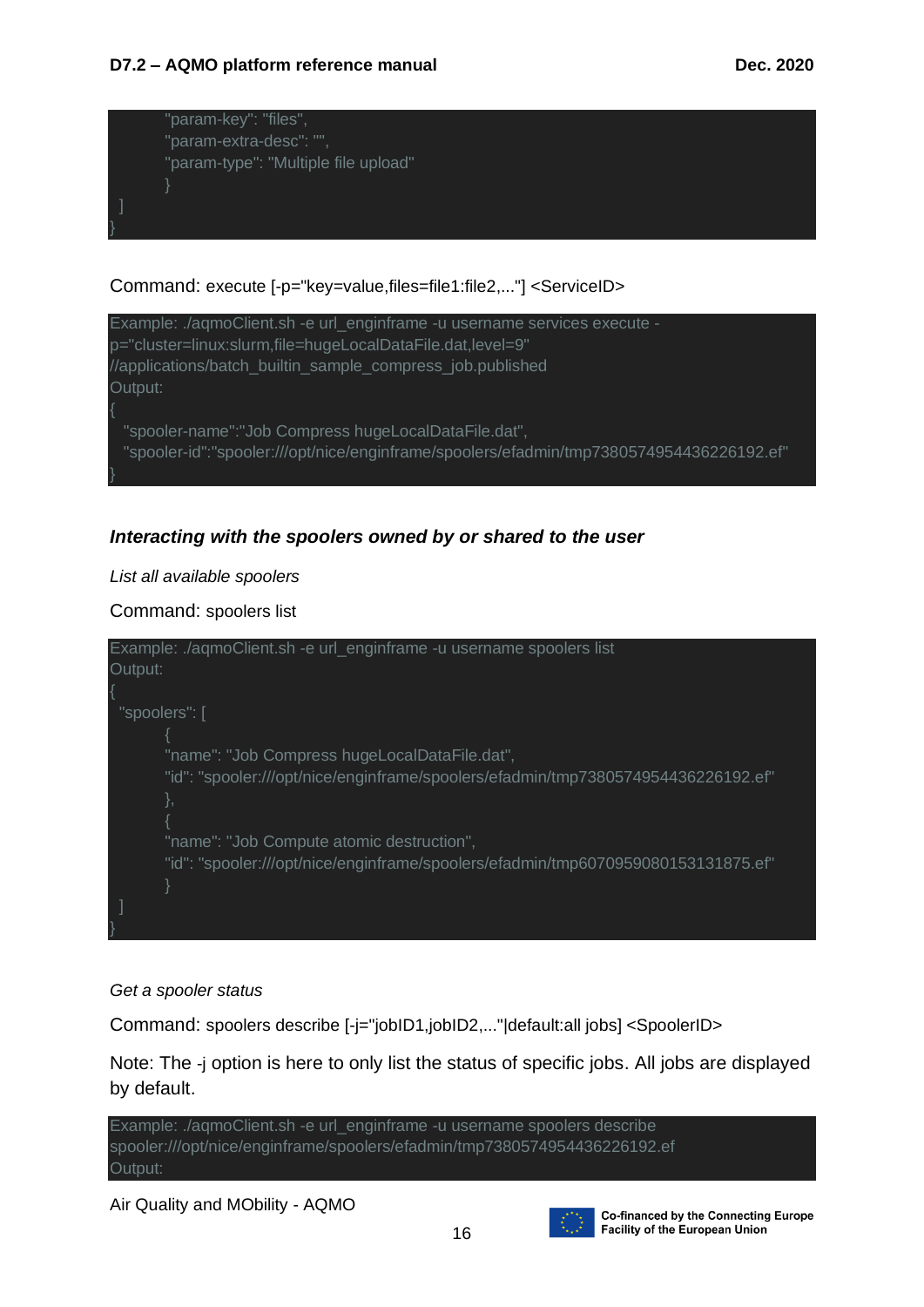

### Command: execute [-p="key=value,files=file1:file2,..."] <ServiceID>



### *Interacting with the spoolers owned by or shared to the user*

#### *List all available spoolers*

Command: spoolers list



#### *Get a spooler status*

Command: spoolers describe [-j="jobID1,jobID2,..."|default:all jobs] <SpoolerID>

Note: The -j option is here to only list the status of specific jobs. All jobs are displayed by default.



Air Quality and MObility - AQMO



**Co-financed by the Connecting Europe Facility of the European Union**